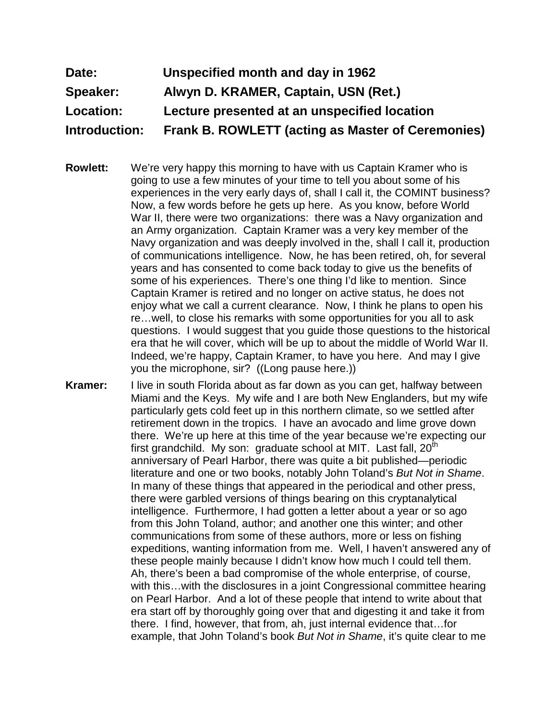## **Date: Unspecified month and day in 1962 Speaker: Alwyn D. KRAMER, Captain, USN (Ret.) Location: Lecture presented at an unspecified location Introduction: Frank B. ROWLETT (acting as Master of Ceremonies)**

- **Rowlett:** We're very happy this morning to have with us Captain Kramer who is going to use a few minutes of your time to tell you about some of his experiences in the very early days of, shall I call it, the COMINT business? Now, a few words before he gets up here. As you know, before World War II, there were two organizations: there was a Navy organization and an Army organization. Captain Kramer was a very key member of the Navy organization and was deeply involved in the, shall I call it, production of communications intelligence. Now, he has been retired, oh, for several years and has consented to come back today to give us the benefits of some of his experiences. There's one thing I'd like to mention. Since Captain Kramer is retired and no longer on active status, he does not enjoy what we call a current clearance. Now, I think he plans to open his re…well, to close his remarks with some opportunities for you all to ask questions. I would suggest that you guide those questions to the historical era that he will cover, which will be up to about the middle of World War II. Indeed, we're happy, Captain Kramer, to have you here. And may I give you the microphone, sir? ((Long pause here.))
- **Kramer:** I live in south Florida about as far down as you can get, halfway between Miami and the Keys. My wife and I are both New Englanders, but my wife particularly gets cold feet up in this northern climate, so we settled after retirement down in the tropics. I have an avocado and lime grove down there. We're up here at this time of the year because we're expecting our first grandchild. My son: graduate school at MIT. Last fall,  $20<sup>th</sup>$ anniversary of Pearl Harbor, there was quite a bit published—periodic literature and one or two books, notably John Toland's *But Not in Shame*. In many of these things that appeared in the periodical and other press, there were garbled versions of things bearing on this cryptanalytical intelligence. Furthermore, I had gotten a letter about a year or so ago from this John Toland, author; and another one this winter; and other communications from some of these authors, more or less on fishing expeditions, wanting information from me. Well, I haven't answered any of these people mainly because I didn't know how much I could tell them. Ah, there's been a bad compromise of the whole enterprise, of course, with this…with the disclosures in a joint Congressional committee hearing on Pearl Harbor. And a lot of these people that intend to write about that era start off by thoroughly going over that and digesting it and take it from there. I find, however, that from, ah, just internal evidence that…for example, that John Toland's book *But Not in Shame*, it's quite clear to me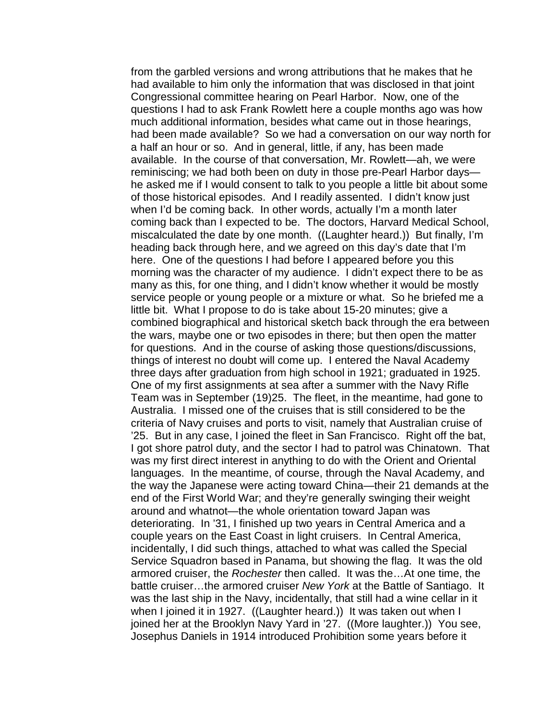from the garbled versions and wrong attributions that he makes that he had available to him only the information that was disclosed in that joint Congressional committee hearing on Pearl Harbor. Now, one of the questions I had to ask Frank Rowlett here a couple months ago was how much additional information, besides what came out in those hearings, had been made available? So we had a conversation on our way north for a half an hour or so. And in general, little, if any, has been made available. In the course of that conversation, Mr. Rowlett—ah, we were reminiscing; we had both been on duty in those pre-Pearl Harbor days he asked me if I would consent to talk to you people a little bit about some of those historical episodes. And I readily assented. I didn't know just when I'd be coming back. In other words, actually I'm a month later coming back than I expected to be. The doctors, Harvard Medical School, miscalculated the date by one month. ((Laughter heard.)) But finally, I'm heading back through here, and we agreed on this day's date that I'm here. One of the questions I had before I appeared before you this morning was the character of my audience. I didn't expect there to be as many as this, for one thing, and I didn't know whether it would be mostly service people or young people or a mixture or what. So he briefed me a little bit. What I propose to do is take about 15-20 minutes; give a combined biographical and historical sketch back through the era between the wars, maybe one or two episodes in there; but then open the matter for questions. And in the course of asking those questions/discussions, things of interest no doubt will come up. I entered the Naval Academy three days after graduation from high school in 1921; graduated in 1925. One of my first assignments at sea after a summer with the Navy Rifle Team was in September (19)25. The fleet, in the meantime, had gone to Australia. I missed one of the cruises that is still considered to be the criteria of Navy cruises and ports to visit, namely that Australian cruise of '25. But in any case, I joined the fleet in San Francisco. Right off the bat, I got shore patrol duty, and the sector I had to patrol was Chinatown. That was my first direct interest in anything to do with the Orient and Oriental languages. In the meantime, of course, through the Naval Academy, and the way the Japanese were acting toward China—their 21 demands at the end of the First World War; and they're generally swinging their weight around and whatnot—the whole orientation toward Japan was deteriorating. In '31, I finished up two years in Central America and a couple years on the East Coast in light cruisers. In Central America, incidentally, I did such things, attached to what was called the Special Service Squadron based in Panama, but showing the flag. It was the old armored cruiser, the *Rochester* then called. It was the…At one time, the battle cruiser…the armored cruiser *New York* at the Battle of Santiago. It was the last ship in the Navy, incidentally, that still had a wine cellar in it when I joined it in 1927. ((Laughter heard.)) It was taken out when I joined her at the Brooklyn Navy Yard in '27. ((More laughter.)) You see, Josephus Daniels in 1914 introduced Prohibition some years before it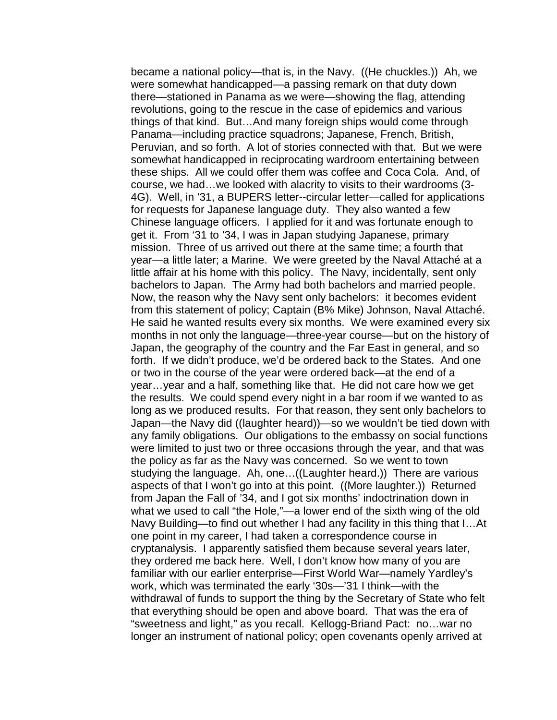became a national policy—that is, in the Navy. ((He chuckles.)) Ah, we were somewhat handicapped—a passing remark on that duty down there—stationed in Panama as we were—showing the flag, attending revolutions, going to the rescue in the case of epidemics and various things of that kind. But…And many foreign ships would come through Panama—including practice squadrons; Japanese, French, British, Peruvian, and so forth. A lot of stories connected with that. But we were somewhat handicapped in reciprocating wardroom entertaining between these ships. All we could offer them was coffee and Coca Cola. And, of course, we had…we looked with alacrity to visits to their wardrooms (3- 4G). Well, in '31, a BUPERS letter--circular letter—called for applications for requests for Japanese language duty. They also wanted a few Chinese language officers. I applied for it and was fortunate enough to get it. From '31 to '34, I was in Japan studying Japanese, primary mission. Three of us arrived out there at the same time; a fourth that year—a little later; a Marine. We were greeted by the Naval Attaché at a little affair at his home with this policy. The Navy, incidentally, sent only bachelors to Japan. The Army had both bachelors and married people. Now, the reason why the Navy sent only bachelors: it becomes evident from this statement of policy; Captain (B% Mike) Johnson, Naval Attaché. He said he wanted results every six months. We were examined every six months in not only the language—three-year course—but on the history of Japan, the geography of the country and the Far East in general, and so forth. If we didn't produce, we'd be ordered back to the States. And one or two in the course of the year were ordered back—at the end of a year…year and a half, something like that. He did not care how we get the results. We could spend every night in a bar room if we wanted to as long as we produced results. For that reason, they sent only bachelors to Japan—the Navy did ((laughter heard))—so we wouldn't be tied down with any family obligations. Our obligations to the embassy on social functions were limited to just two or three occasions through the year, and that was the policy as far as the Navy was concerned. So we went to town studying the language. Ah, one…((Laughter heard.)) There are various aspects of that I won't go into at this point. ((More laughter.)) Returned from Japan the Fall of '34, and I got six months' indoctrination down in what we used to call "the Hole,"—a lower end of the sixth wing of the old Navy Building—to find out whether I had any facility in this thing that I…At one point in my career, I had taken a correspondence course in cryptanalysis. I apparently satisfied them because several years later, they ordered me back here. Well, I don't know how many of you are familiar with our earlier enterprise—First World War—namely Yardley's work, which was terminated the early '30s—'31 I think—with the withdrawal of funds to support the thing by the Secretary of State who felt that everything should be open and above board. That was the era of "sweetness and light," as you recall. Kellogg-Briand Pact: no…war no longer an instrument of national policy; open covenants openly arrived at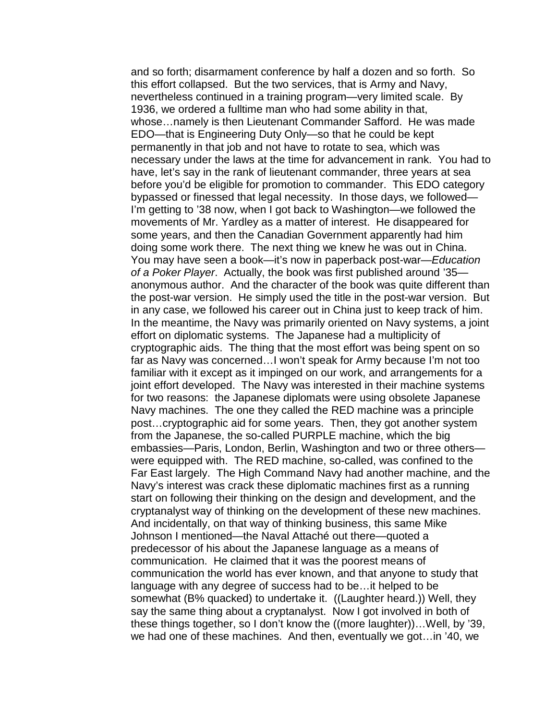and so forth; disarmament conference by half a dozen and so forth. So this effort collapsed. But the two services, that is Army and Navy, nevertheless continued in a training program—very limited scale. By 1936, we ordered a fulltime man who had some ability in that, whose…namely is then Lieutenant Commander Safford. He was made EDO—that is Engineering Duty Only—so that he could be kept permanently in that job and not have to rotate to sea, which was necessary under the laws at the time for advancement in rank. You had to have, let's say in the rank of lieutenant commander, three years at sea before you'd be eligible for promotion to commander. This EDO category bypassed or finessed that legal necessity. In those days, we followed— I'm getting to '38 now, when I got back to Washington—we followed the movements of Mr. Yardley as a matter of interest. He disappeared for some years, and then the Canadian Government apparently had him doing some work there. The next thing we knew he was out in China. You may have seen a book—it's now in paperback post-war—*Education of a Poker Player*. Actually, the book was first published around '35 anonymous author. And the character of the book was quite different than the post-war version. He simply used the title in the post-war version. But in any case, we followed his career out in China just to keep track of him. In the meantime, the Navy was primarily oriented on Navy systems, a joint effort on diplomatic systems. The Japanese had a multiplicity of cryptographic aids. The thing that the most effort was being spent on so far as Navy was concerned…I won't speak for Army because I'm not too familiar with it except as it impinged on our work, and arrangements for a joint effort developed. The Navy was interested in their machine systems for two reasons: the Japanese diplomats were using obsolete Japanese Navy machines. The one they called the RED machine was a principle post…cryptographic aid for some years. Then, they got another system from the Japanese, the so-called PURPLE machine, which the big embassies—Paris, London, Berlin, Washington and two or three others were equipped with. The RED machine, so-called, was confined to the Far East largely. The High Command Navy had another machine, and the Navy's interest was crack these diplomatic machines first as a running start on following their thinking on the design and development, and the cryptanalyst way of thinking on the development of these new machines. And incidentally, on that way of thinking business, this same Mike Johnson I mentioned—the Naval Attaché out there—quoted a predecessor of his about the Japanese language as a means of communication. He claimed that it was the poorest means of communication the world has ever known, and that anyone to study that language with any degree of success had to be…it helped to be somewhat (B% quacked) to undertake it. ((Laughter heard.)) Well, they say the same thing about a cryptanalyst. Now I got involved in both of these things together, so I don't know the ((more laughter))…Well, by '39, we had one of these machines. And then, eventually we got…in '40, we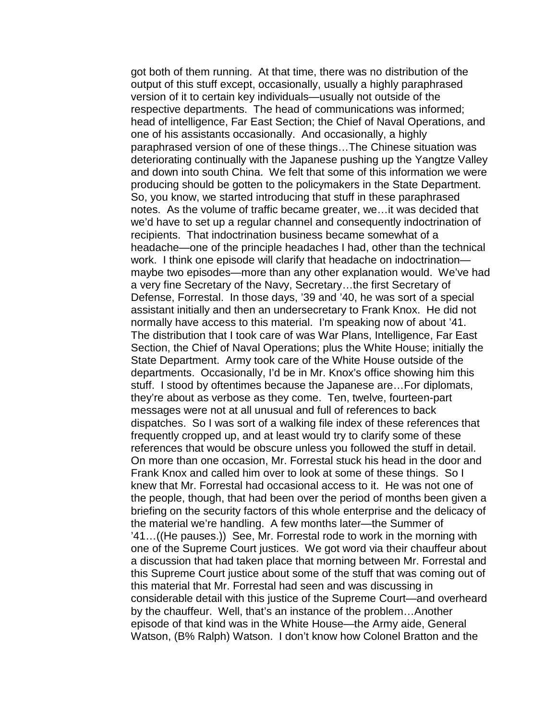got both of them running. At that time, there was no distribution of the output of this stuff except, occasionally, usually a highly paraphrased version of it to certain key individuals—usually not outside of the respective departments. The head of communications was informed; head of intelligence, Far East Section; the Chief of Naval Operations, and one of his assistants occasionally. And occasionally, a highly paraphrased version of one of these things…The Chinese situation was deteriorating continually with the Japanese pushing up the Yangtze Valley and down into south China. We felt that some of this information we were producing should be gotten to the policymakers in the State Department. So, you know, we started introducing that stuff in these paraphrased notes. As the volume of traffic became greater, we…it was decided that we'd have to set up a regular channel and consequently indoctrination of recipients. That indoctrination business became somewhat of a headache—one of the principle headaches I had, other than the technical work. I think one episode will clarify that headache on indoctrination maybe two episodes—more than any other explanation would. We've had a very fine Secretary of the Navy, Secretary…the first Secretary of Defense, Forrestal. In those days, '39 and '40, he was sort of a special assistant initially and then an undersecretary to Frank Knox. He did not normally have access to this material. I'm speaking now of about '41. The distribution that I took care of was War Plans, Intelligence, Far East Section, the Chief of Naval Operations; plus the White House; initially the State Department. Army took care of the White House outside of the departments. Occasionally, I'd be in Mr. Knox's office showing him this stuff. I stood by oftentimes because the Japanese are…For diplomats, they're about as verbose as they come. Ten, twelve, fourteen-part messages were not at all unusual and full of references to back dispatches. So I was sort of a walking file index of these references that frequently cropped up, and at least would try to clarify some of these references that would be obscure unless you followed the stuff in detail. On more than one occasion, Mr. Forrestal stuck his head in the door and Frank Knox and called him over to look at some of these things. So I knew that Mr. Forrestal had occasional access to it. He was not one of the people, though, that had been over the period of months been given a briefing on the security factors of this whole enterprise and the delicacy of the material we're handling. A few months later—the Summer of '41…((He pauses.)) See, Mr. Forrestal rode to work in the morning with one of the Supreme Court justices. We got word via their chauffeur about a discussion that had taken place that morning between Mr. Forrestal and this Supreme Court justice about some of the stuff that was coming out of this material that Mr. Forrestal had seen and was discussing in considerable detail with this justice of the Supreme Court—and overheard by the chauffeur. Well, that's an instance of the problem…Another episode of that kind was in the White House—the Army aide, General Watson, (B% Ralph) Watson. I don't know how Colonel Bratton and the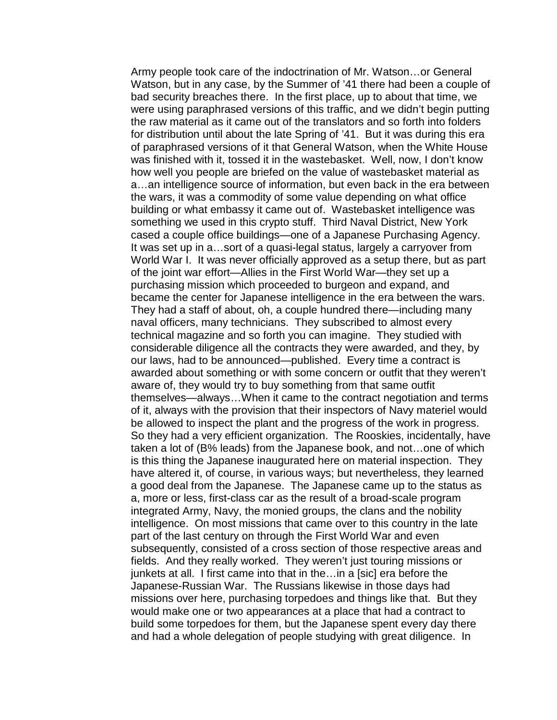Army people took care of the indoctrination of Mr. Watson…or General Watson, but in any case, by the Summer of '41 there had been a couple of bad security breaches there. In the first place, up to about that time, we were using paraphrased versions of this traffic, and we didn't begin putting the raw material as it came out of the translators and so forth into folders for distribution until about the late Spring of '41. But it was during this era of paraphrased versions of it that General Watson, when the White House was finished with it, tossed it in the wastebasket. Well, now, I don't know how well you people are briefed on the value of wastebasket material as a…an intelligence source of information, but even back in the era between the wars, it was a commodity of some value depending on what office building or what embassy it came out of. Wastebasket intelligence was something we used in this crypto stuff. Third Naval District, New York cased a couple office buildings—one of a Japanese Purchasing Agency. It was set up in a…sort of a quasi-legal status, largely a carryover from World War I. It was never officially approved as a setup there, but as part of the joint war effort—Allies in the First World War—they set up a purchasing mission which proceeded to burgeon and expand, and became the center for Japanese intelligence in the era between the wars. They had a staff of about, oh, a couple hundred there—including many naval officers, many technicians. They subscribed to almost every technical magazine and so forth you can imagine. They studied with considerable diligence all the contracts they were awarded, and they, by our laws, had to be announced—published. Every time a contract is awarded about something or with some concern or outfit that they weren't aware of, they would try to buy something from that same outfit themselves—always…When it came to the contract negotiation and terms of it, always with the provision that their inspectors of Navy materiel would be allowed to inspect the plant and the progress of the work in progress. So they had a very efficient organization. The Rooskies, incidentally, have taken a lot of (B% leads) from the Japanese book, and not…one of which is this thing the Japanese inaugurated here on material inspection. They have altered it, of course, in various ways; but nevertheless, they learned a good deal from the Japanese. The Japanese came up to the status as a, more or less, first-class car as the result of a broad-scale program integrated Army, Navy, the monied groups, the clans and the nobility intelligence. On most missions that came over to this country in the late part of the last century on through the First World War and even subsequently, consisted of a cross section of those respective areas and fields. And they really worked. They weren't just touring missions or junkets at all. I first came into that in the…in a [sic] era before the Japanese-Russian War. The Russians likewise in those days had missions over here, purchasing torpedoes and things like that. But they would make one or two appearances at a place that had a contract to build some torpedoes for them, but the Japanese spent every day there and had a whole delegation of people studying with great diligence. In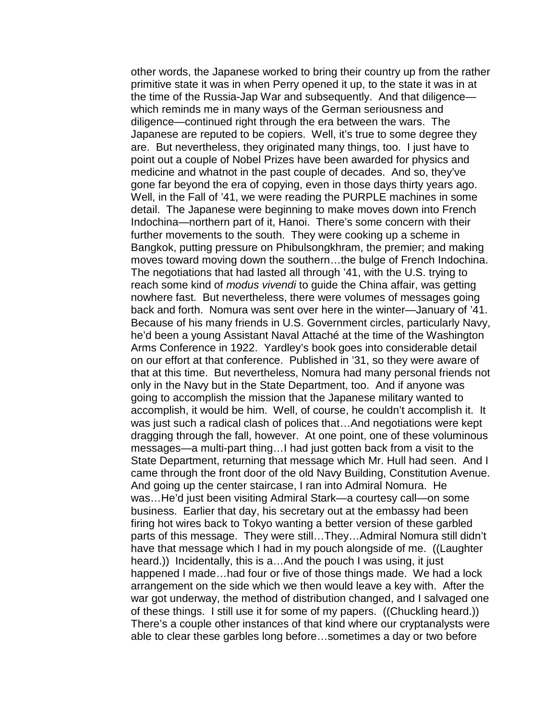other words, the Japanese worked to bring their country up from the rather primitive state it was in when Perry opened it up, to the state it was in at the time of the Russia-Jap War and subsequently. And that diligence which reminds me in many ways of the German seriousness and diligence—continued right through the era between the wars. The Japanese are reputed to be copiers. Well, it's true to some degree they are. But nevertheless, they originated many things, too. I just have to point out a couple of Nobel Prizes have been awarded for physics and medicine and whatnot in the past couple of decades. And so, they've gone far beyond the era of copying, even in those days thirty years ago. Well, in the Fall of '41, we were reading the PURPLE machines in some detail. The Japanese were beginning to make moves down into French Indochina—northern part of it, Hanoi. There's some concern with their further movements to the south. They were cooking up a scheme in Bangkok, putting pressure on Phibulsongkhram, the premier; and making moves toward moving down the southern…the bulge of French Indochina. The negotiations that had lasted all through '41, with the U.S. trying to reach some kind of *modus vivendi* to guide the China affair, was getting nowhere fast. But nevertheless, there were volumes of messages going back and forth. Nomura was sent over here in the winter—January of '41. Because of his many friends in U.S. Government circles, particularly Navy, he'd been a young Assistant Naval Attaché at the time of the Washington Arms Conference in 1922. Yardley's book goes into considerable detail on our effort at that conference. Published in '31, so they were aware of that at this time. But nevertheless, Nomura had many personal friends not only in the Navy but in the State Department, too. And if anyone was going to accomplish the mission that the Japanese military wanted to accomplish, it would be him. Well, of course, he couldn't accomplish it. It was just such a radical clash of polices that…And negotiations were kept dragging through the fall, however. At one point, one of these voluminous messages—a multi-part thing…I had just gotten back from a visit to the State Department, returning that message which Mr. Hull had seen. And I came through the front door of the old Navy Building, Constitution Avenue. And going up the center staircase, I ran into Admiral Nomura. He was…He'd just been visiting Admiral Stark—a courtesy call—on some business. Earlier that day, his secretary out at the embassy had been firing hot wires back to Tokyo wanting a better version of these garbled parts of this message. They were still…They…Admiral Nomura still didn't have that message which I had in my pouch alongside of me. ((Laughter heard.)) Incidentally, this is a…And the pouch I was using, it just happened I made…had four or five of those things made. We had a lock arrangement on the side which we then would leave a key with. After the war got underway, the method of distribution changed, and I salvaged one of these things. I still use it for some of my papers. ((Chuckling heard.)) There's a couple other instances of that kind where our cryptanalysts were able to clear these garbles long before…sometimes a day or two before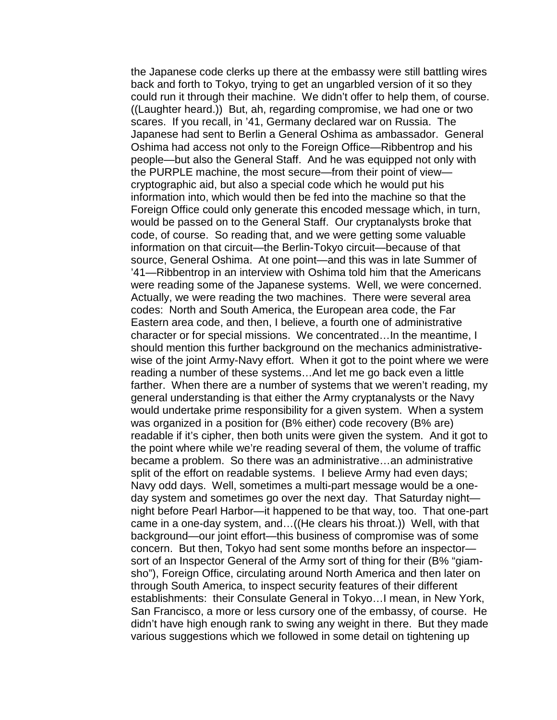the Japanese code clerks up there at the embassy were still battling wires back and forth to Tokyo, trying to get an ungarbled version of it so they could run it through their machine. We didn't offer to help them, of course. ((Laughter heard.)) But, ah, regarding compromise, we had one or two scares. If you recall, in '41, Germany declared war on Russia. The Japanese had sent to Berlin a General Oshima as ambassador. General Oshima had access not only to the Foreign Office—Ribbentrop and his people—but also the General Staff. And he was equipped not only with the PURPLE machine, the most secure—from their point of view cryptographic aid, but also a special code which he would put his information into, which would then be fed into the machine so that the Foreign Office could only generate this encoded message which, in turn, would be passed on to the General Staff. Our cryptanalysts broke that code, of course. So reading that, and we were getting some valuable information on that circuit—the Berlin-Tokyo circuit—because of that source, General Oshima. At one point—and this was in late Summer of '41—Ribbentrop in an interview with Oshima told him that the Americans were reading some of the Japanese systems. Well, we were concerned. Actually, we were reading the two machines. There were several area codes: North and South America, the European area code, the Far Eastern area code, and then, I believe, a fourth one of administrative character or for special missions. We concentrated…In the meantime, I should mention this further background on the mechanics administrativewise of the joint Army-Navy effort. When it got to the point where we were reading a number of these systems…And let me go back even a little farther. When there are a number of systems that we weren't reading, my general understanding is that either the Army cryptanalysts or the Navy would undertake prime responsibility for a given system. When a system was organized in a position for (B% either) code recovery (B% are) readable if it's cipher, then both units were given the system. And it got to the point where while we're reading several of them, the volume of traffic became a problem. So there was an administrative…an administrative split of the effort on readable systems. I believe Army had even days; Navy odd days. Well, sometimes a multi-part message would be a oneday system and sometimes go over the next day. That Saturday night night before Pearl Harbor—it happened to be that way, too. That one-part came in a one-day system, and…((He clears his throat.)) Well, with that background—our joint effort—this business of compromise was of some concern. But then, Tokyo had sent some months before an inspector sort of an Inspector General of the Army sort of thing for their (B% "giamsho"), Foreign Office, circulating around North America and then later on through South America, to inspect security features of their different establishments: their Consulate General in Tokyo…I mean, in New York, San Francisco, a more or less cursory one of the embassy, of course. He didn't have high enough rank to swing any weight in there. But they made various suggestions which we followed in some detail on tightening up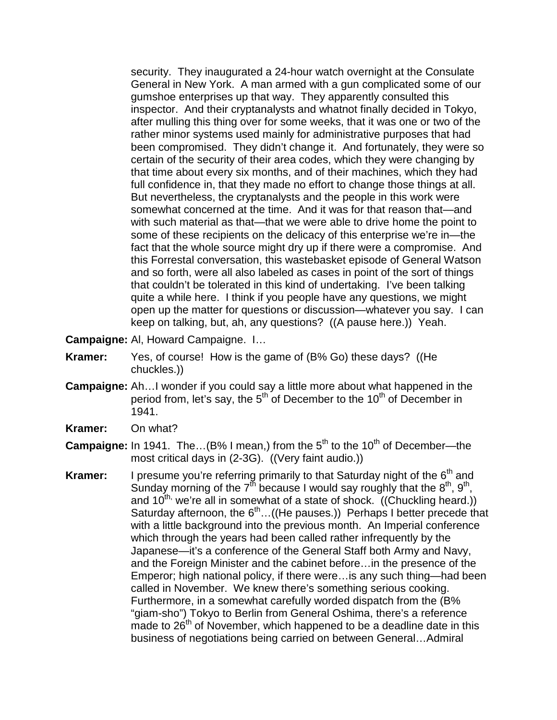security. They inaugurated a 24-hour watch overnight at the Consulate General in New York. A man armed with a gun complicated some of our gumshoe enterprises up that way. They apparently consulted this inspector. And their cryptanalysts and whatnot finally decided in Tokyo, after mulling this thing over for some weeks, that it was one or two of the rather minor systems used mainly for administrative purposes that had been compromised. They didn't change it. And fortunately, they were so certain of the security of their area codes, which they were changing by that time about every six months, and of their machines, which they had full confidence in, that they made no effort to change those things at all. But nevertheless, the cryptanalysts and the people in this work were somewhat concerned at the time. And it was for that reason that—and with such material as that—that we were able to drive home the point to some of these recipients on the delicacy of this enterprise we're in—the fact that the whole source might dry up if there were a compromise. And this Forrestal conversation, this wastebasket episode of General Watson and so forth, were all also labeled as cases in point of the sort of things that couldn't be tolerated in this kind of undertaking. I've been talking quite a while here. I think if you people have any questions, we might open up the matter for questions or discussion—whatever you say. I can keep on talking, but, ah, any questions? ((A pause here.)) Yeah.

- **Campaigne:** Al, Howard Campaigne. I…
- **Kramer:** Yes, of course! How is the game of (B% Go) these days? ((He chuckles.))
- **Campaigne:** Ah…I wonder if you could say a little more about what happened in the period from, let's say, the  $5<sup>th</sup>$  of December to the 10<sup>th</sup> of December in 1941.
- **Kramer:** On what?
- **Campaigne:** In 1941. The...(B% I mean,) from the 5<sup>th</sup> to the 10<sup>th</sup> of December—the most critical days in (2-3G). ((Very faint audio.))
- **Kramer:** I presume you're referring primarily to that Saturday night of the 6<sup>th</sup> and Sunday morning of the  $7<sup>th</sup>$  because I would say roughly that the  $8<sup>th</sup>$ ,  $9<sup>th</sup>$ , and 10<sup>th,</sup> we're all in somewhat of a state of shock. ((Chuckling heard.)) Saturday afternoon, the  $6<sup>th</sup>$ ...((He pauses.)) Perhaps I better precede that with a little background into the previous month. An Imperial conference which through the years had been called rather infrequently by the Japanese—it's a conference of the General Staff both Army and Navy, and the Foreign Minister and the cabinet before…in the presence of the Emperor; high national policy, if there were…is any such thing—had been called in November. We knew there's something serious cooking. Furthermore, in a somewhat carefully worded dispatch from the (B% "giam-sho") Tokyo to Berlin from General Oshima, there's a reference made to  $26<sup>th</sup>$  of November, which happened to be a deadline date in this business of negotiations being carried on between General…Admiral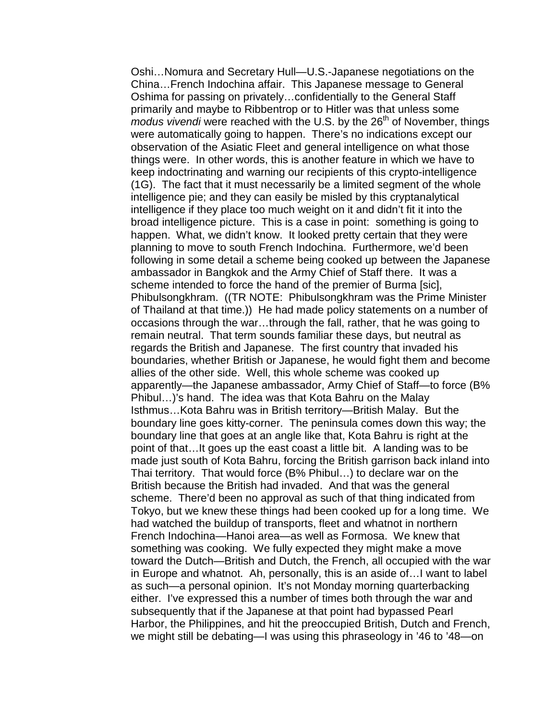Oshi…Nomura and Secretary Hull—U.S.-Japanese negotiations on the China…French Indochina affair. This Japanese message to General Oshima for passing on privately…confidentially to the General Staff primarily and maybe to Ribbentrop or to Hitler was that unless some *modus vivendi* were reached with the U.S. by the 26<sup>th</sup> of November, things were automatically going to happen. There's no indications except our observation of the Asiatic Fleet and general intelligence on what those things were. In other words, this is another feature in which we have to keep indoctrinating and warning our recipients of this crypto-intelligence (1G). The fact that it must necessarily be a limited segment of the whole intelligence pie; and they can easily be misled by this cryptanalytical intelligence if they place too much weight on it and didn't fit it into the broad intelligence picture. This is a case in point: something is going to happen. What, we didn't know. It looked pretty certain that they were planning to move to south French Indochina. Furthermore, we'd been following in some detail a scheme being cooked up between the Japanese ambassador in Bangkok and the Army Chief of Staff there. It was a scheme intended to force the hand of the premier of Burma [sic], Phibulsongkhram. ((TR NOTE: Phibulsongkhram was the Prime Minister of Thailand at that time.)) He had made policy statements on a number of occasions through the war…through the fall, rather, that he was going to remain neutral. That term sounds familiar these days, but neutral as regards the British and Japanese. The first country that invaded his boundaries, whether British or Japanese, he would fight them and become allies of the other side. Well, this whole scheme was cooked up apparently—the Japanese ambassador, Army Chief of Staff—to force (B% Phibul…)'s hand. The idea was that Kota Bahru on the Malay Isthmus…Kota Bahru was in British territory—British Malay. But the boundary line goes kitty-corner. The peninsula comes down this way; the boundary line that goes at an angle like that, Kota Bahru is right at the point of that…It goes up the east coast a little bit. A landing was to be made just south of Kota Bahru, forcing the British garrison back inland into Thai territory. That would force (B% Phibul…) to declare war on the British because the British had invaded. And that was the general scheme. There'd been no approval as such of that thing indicated from Tokyo, but we knew these things had been cooked up for a long time. We had watched the buildup of transports, fleet and whatnot in northern French Indochina—Hanoi area—as well as Formosa. We knew that something was cooking. We fully expected they might make a move toward the Dutch—British and Dutch, the French, all occupied with the war in Europe and whatnot. Ah, personally, this is an aside of…I want to label as such—a personal opinion. It's not Monday morning quarterbacking either. I've expressed this a number of times both through the war and subsequently that if the Japanese at that point had bypassed Pearl Harbor, the Philippines, and hit the preoccupied British, Dutch and French, we might still be debating—I was using this phraseology in '46 to '48—on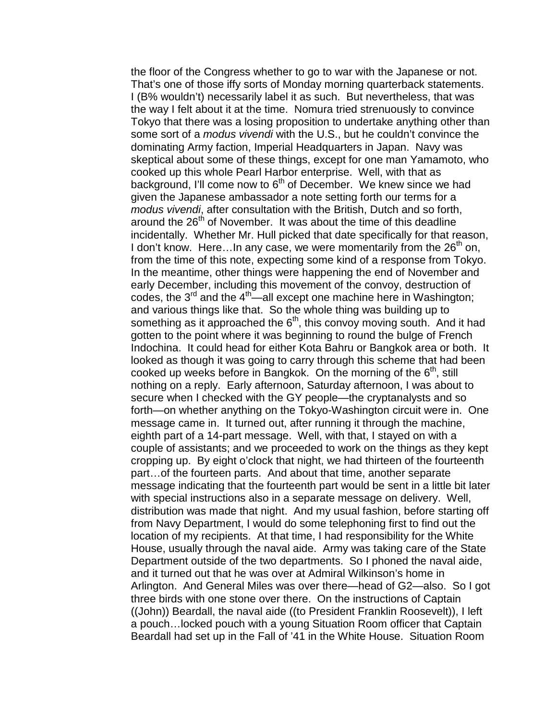the floor of the Congress whether to go to war with the Japanese or not. That's one of those iffy sorts of Monday morning quarterback statements. I (B% wouldn't) necessarily label it as such. But nevertheless, that was the way I felt about it at the time. Nomura tried strenuously to convince Tokyo that there was a losing proposition to undertake anything other than some sort of a *modus vivendi* with the U.S., but he couldn't convince the dominating Army faction, Imperial Headquarters in Japan. Navy was skeptical about some of these things, except for one man Yamamoto, who cooked up this whole Pearl Harbor enterprise. Well, with that as background, I'll come now to  $6<sup>th</sup>$  of December. We knew since we had given the Japanese ambassador a note setting forth our terms for a *modus vivendi*, after consultation with the British, Dutch and so forth, around the 26<sup>th</sup> of November. It was about the time of this deadline incidentally. Whether Mr. Hull picked that date specifically for that reason, I don't know. Here...In any case, we were momentarily from the  $26<sup>th</sup>$  on, from the time of this note, expecting some kind of a response from Tokyo. In the meantime, other things were happening the end of November and early December, including this movement of the convoy, destruction of codes, the  $3^{rd}$  and the  $4^{th}$ —all except one machine here in Washington; and various things like that. So the whole thing was building up to something as it approached the  $6<sup>th</sup>$ , this convoy moving south. And it had gotten to the point where it was beginning to round the bulge of French Indochina. It could head for either Kota Bahru or Bangkok area or both. It looked as though it was going to carry through this scheme that had been cooked up weeks before in Bangkok. On the morning of the  $6<sup>th</sup>$ , still nothing on a reply. Early afternoon, Saturday afternoon, I was about to secure when I checked with the GY people—the cryptanalysts and so forth—on whether anything on the Tokyo-Washington circuit were in. One message came in. It turned out, after running it through the machine, eighth part of a 14-part message. Well, with that, I stayed on with a couple of assistants; and we proceeded to work on the things as they kept cropping up. By eight o'clock that night, we had thirteen of the fourteenth part…of the fourteen parts. And about that time, another separate message indicating that the fourteenth part would be sent in a little bit later with special instructions also in a separate message on delivery. Well, distribution was made that night. And my usual fashion, before starting off from Navy Department, I would do some telephoning first to find out the location of my recipients. At that time, I had responsibility for the White House, usually through the naval aide. Army was taking care of the State Department outside of the two departments. So I phoned the naval aide, and it turned out that he was over at Admiral Wilkinson's home in Arlington. And General Miles was over there—head of G2—also. So I got three birds with one stone over there. On the instructions of Captain ((John)) Beardall, the naval aide ((to President Franklin Roosevelt)), I left a pouch...locked pouch with a young Situation Room officer that Captain Beardall had set up in the Fall of '41 in the White House. Situation Room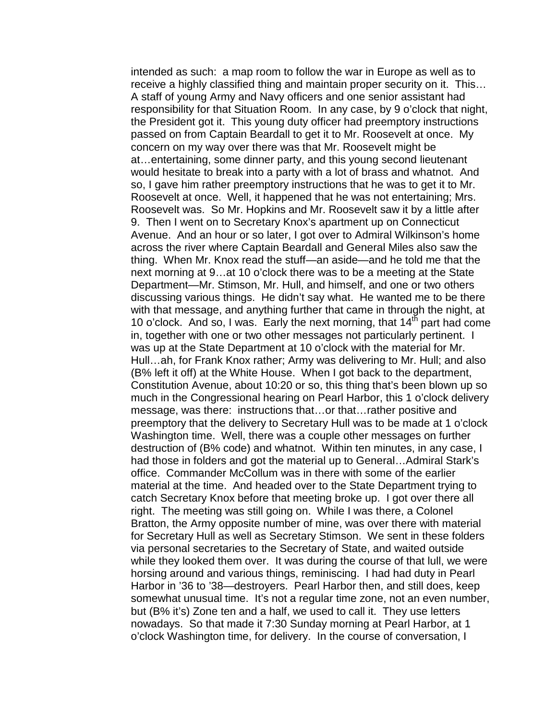intended as such: a map room to follow the war in Europe as well as to receive a highly classified thing and maintain proper security on it. This… A staff of young Army and Navy officers and one senior assistant had responsibility for that Situation Room. In any case, by 9 o'clock that night, the President got it. This young duty officer had preemptory instructions passed on from Captain Beardall to get it to Mr. Roosevelt at once. My concern on my way over there was that Mr. Roosevelt might be at…entertaining, some dinner party, and this young second lieutenant would hesitate to break into a party with a lot of brass and whatnot. And so, I gave him rather preemptory instructions that he was to get it to Mr. Roosevelt at once. Well, it happened that he was not entertaining; Mrs. Roosevelt was. So Mr. Hopkins and Mr. Roosevelt saw it by a little after 9. Then I went on to Secretary Knox's apartment up on Connecticut Avenue. And an hour or so later, I got over to Admiral Wilkinson's home across the river where Captain Beardall and General Miles also saw the thing. When Mr. Knox read the stuff—an aside—and he told me that the next morning at 9…at 10 o'clock there was to be a meeting at the State Department—Mr. Stimson, Mr. Hull, and himself, and one or two others discussing various things. He didn't say what. He wanted me to be there with that message, and anything further that came in through the night, at 10 o'clock. And so, I was. Early the next morning, that  $14^{th}$  part had come in, together with one or two other messages not particularly pertinent. I was up at the State Department at 10 o'clock with the material for Mr. Hull…ah, for Frank Knox rather; Army was delivering to Mr. Hull; and also (B% left it off) at the White House. When I got back to the department, Constitution Avenue, about 10:20 or so, this thing that's been blown up so much in the Congressional hearing on Pearl Harbor, this 1 o'clock delivery message, was there: instructions that…or that…rather positive and preemptory that the delivery to Secretary Hull was to be made at 1 o'clock Washington time. Well, there was a couple other messages on further destruction of (B% code) and whatnot. Within ten minutes, in any case, I had those in folders and got the material up to General…Admiral Stark's office. Commander McCollum was in there with some of the earlier material at the time. And headed over to the State Department trying to catch Secretary Knox before that meeting broke up. I got over there all right. The meeting was still going on. While I was there, a Colonel Bratton, the Army opposite number of mine, was over there with material for Secretary Hull as well as Secretary Stimson. We sent in these folders via personal secretaries to the Secretary of State, and waited outside while they looked them over. It was during the course of that lull, we were horsing around and various things, reminiscing. I had had duty in Pearl Harbor in '36 to '38—destroyers. Pearl Harbor then, and still does, keep somewhat unusual time. It's not a regular time zone, not an even number, but (B% it's) Zone ten and a half, we used to call it. They use letters nowadays. So that made it 7:30 Sunday morning at Pearl Harbor, at 1 o'clock Washington time, for delivery. In the course of conversation, I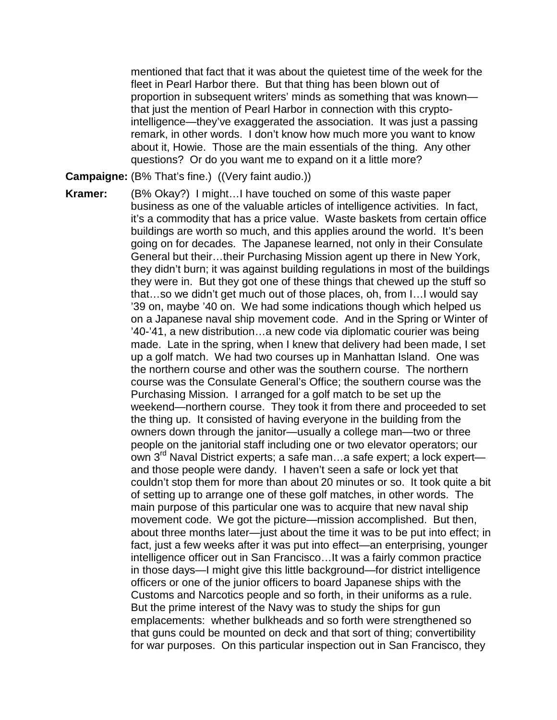mentioned that fact that it was about the quietest time of the week for the fleet in Pearl Harbor there. But that thing has been blown out of proportion in subsequent writers' minds as something that was known that just the mention of Pearl Harbor in connection with this cryptointelligence—they've exaggerated the association. It was just a passing remark, in other words. I don't know how much more you want to know about it, Howie. Those are the main essentials of the thing. Any other questions? Or do you want me to expand on it a little more?

**Campaigne:** (B% That's fine.) ((Very faint audio.))

**Kramer:** (B% Okay?) I might…I have touched on some of this waste paper business as one of the valuable articles of intelligence activities. In fact, it's a commodity that has a price value. Waste baskets from certain office buildings are worth so much, and this applies around the world. It's been going on for decades. The Japanese learned, not only in their Consulate General but their…their Purchasing Mission agent up there in New York, they didn't burn; it was against building regulations in most of the buildings they were in. But they got one of these things that chewed up the stuff so that…so we didn't get much out of those places, oh, from I…I would say '39 on, maybe '40 on. We had some indications though which helped us on a Japanese naval ship movement code. And in the Spring or Winter of '40-'41, a new distribution…a new code via diplomatic courier was being made. Late in the spring, when I knew that delivery had been made, I set up a golf match. We had two courses up in Manhattan Island. One was the northern course and other was the southern course. The northern course was the Consulate General's Office; the southern course was the Purchasing Mission. I arranged for a golf match to be set up the weekend—northern course. They took it from there and proceeded to set the thing up. It consisted of having everyone in the building from the owners down through the janitor—usually a college man—two or three people on the janitorial staff including one or two elevator operators; our own 3<sup>rd</sup> Naval District experts; a safe man...a safe expert; a lock expert and those people were dandy. I haven't seen a safe or lock yet that couldn't stop them for more than about 20 minutes or so. It took quite a bit of setting up to arrange one of these golf matches, in other words. The main purpose of this particular one was to acquire that new naval ship movement code. We got the picture—mission accomplished. But then, about three months later—just about the time it was to be put into effect; in fact, just a few weeks after it was put into effect—an enterprising, younger intelligence officer out in San Francisco…It was a fairly common practice in those days—I might give this little background—for district intelligence officers or one of the junior officers to board Japanese ships with the Customs and Narcotics people and so forth, in their uniforms as a rule. But the prime interest of the Navy was to study the ships for gun emplacements: whether bulkheads and so forth were strengthened so that guns could be mounted on deck and that sort of thing; convertibility for war purposes. On this particular inspection out in San Francisco, they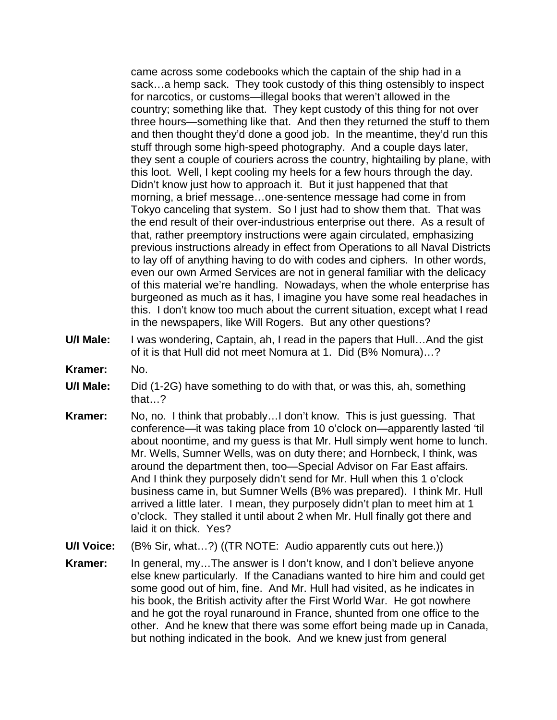came across some codebooks which the captain of the ship had in a sack…a hemp sack. They took custody of this thing ostensibly to inspect for narcotics, or customs—illegal books that weren't allowed in the country; something like that. They kept custody of this thing for not over three hours—something like that. And then they returned the stuff to them and then thought they'd done a good job. In the meantime, they'd run this stuff through some high-speed photography. And a couple days later, they sent a couple of couriers across the country, hightailing by plane, with this loot. Well, I kept cooling my heels for a few hours through the day. Didn't know just how to approach it. But it just happened that that morning, a brief message…one-sentence message had come in from Tokyo canceling that system. So I just had to show them that. That was the end result of their over-industrious enterprise out there. As a result of that, rather preemptory instructions were again circulated, emphasizing previous instructions already in effect from Operations to all Naval Districts to lay off of anything having to do with codes and ciphers. In other words, even our own Armed Services are not in general familiar with the delicacy of this material we're handling. Nowadays, when the whole enterprise has burgeoned as much as it has, I imagine you have some real headaches in this. I don't know too much about the current situation, except what I read in the newspapers, like Will Rogers. But any other questions?

- **U/I Male:** I was wondering, Captain, ah, I read in the papers that Hull…And the gist of it is that Hull did not meet Nomura at 1. Did (B% Nomura)…?
- **Kramer:** No.
- **U/I Male:** Did (1-2G) have something to do with that, or was this, ah, something that…?
- **Kramer:** No, no. I think that probably…I don't know. This is just guessing. That conference—it was taking place from 10 o'clock on—apparently lasted 'til about noontime, and my guess is that Mr. Hull simply went home to lunch. Mr. Wells, Sumner Wells, was on duty there; and Hornbeck, I think, was around the department then, too—Special Advisor on Far East affairs. And I think they purposely didn't send for Mr. Hull when this 1 o'clock business came in, but Sumner Wells (B% was prepared). I think Mr. Hull arrived a little later. I mean, they purposely didn't plan to meet him at 1 o'clock. They stalled it until about 2 when Mr. Hull finally got there and laid it on thick. Yes?
- **U/I Voice:** (B% Sir, what…?) ((TR NOTE: Audio apparently cuts out here.))
- **Kramer:** In general, my…The answer is I don't know, and I don't believe anyone else knew particularly. If the Canadians wanted to hire him and could get some good out of him, fine. And Mr. Hull had visited, as he indicates in his book, the British activity after the First World War. He got nowhere and he got the royal runaround in France, shunted from one office to the other. And he knew that there was some effort being made up in Canada, but nothing indicated in the book. And we knew just from general